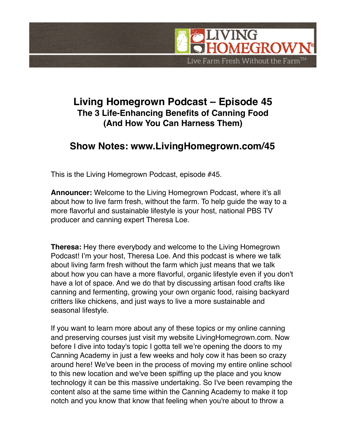

## **Living Homegrown Podcast – Episode 45 The 3 Life-Enhancing Benefits of Canning Food (And How You Can Harness Them)**

## **Show Notes: www.LivingHomegrown.com/45**

This is the Living Homegrown Podcast, episode #45.

**Announcer:** Welcome to the Living Homegrown Podcast, where it's all about how to live farm fresh, without the farm. To help guide the way to a more flavorful and sustainable lifestyle is your host, national PBS TV producer and canning expert Theresa Loe.

**Theresa:** Hey there everybody and welcome to the Living Homegrown Podcast! I'm your host, Theresa Loe. And this podcast is where we talk about living farm fresh without the farm which just means that we talk about how you can have a more flavorful, organic lifestyle even if you don't have a lot of space. And we do that by discussing artisan food crafts like canning and fermenting, growing your own organic food, raising backyard critters like chickens, and just ways to live a more sustainable and seasonal lifestyle.

If you want to learn more about any of these topics or my online canning and preserving courses just visit my website LivingHomegrown.com. Now before I dive into today's topic I gotta tell we're opening the doors to my Canning Academy in just a few weeks and holy cow it has been so crazy around here! We've been in the process of moving my entire online school to this new location and we've been spiffing up the place and you know technology it can be this massive undertaking. So I've been revamping the content also at the same time within the Canning Academy to make it top notch and you know that know that feeling when you're about to throw a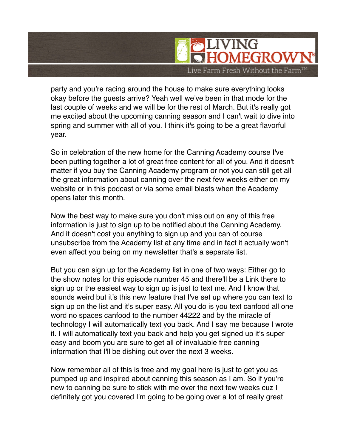

party and you're racing around the house to make sure everything looks okay before the guests arrive? Yeah well we've been in that mode for the last couple of weeks and we will be for the rest of March. But it's really got me excited about the upcoming canning season and I can't wait to dive into spring and summer with all of you. I think it's going to be a great flavorful year.

So in celebration of the new home for the Canning Academy course I've been putting together a lot of great free content for all of you. And it doesn't matter if you buy the Canning Academy program or not you can still get all the great information about canning over the next few weeks either on my website or in this podcast or via some email blasts when the Academy opens later this month.

Now the best way to make sure you don't miss out on any of this free information is just to sign up to be notified about the Canning Academy. And it doesn't cost you anything to sign up and you can of course unsubscribe from the Academy list at any time and in fact it actually won't even affect you being on my newsletter that's a separate list.

But you can sign up for the Academy list in one of two ways: Either go to the show notes for this episode number 45 and there'll be a Link there to sign up or the easiest way to sign up is just to text me. And I know that sounds weird but it's this new feature that I've set up where you can text to sign up on the list and it's super easy. All you do is you text canfood all one word no spaces canfood to the number 44222 and by the miracle of technology I will automatically text you back. And I say me because I wrote it. I will automatically text you back and help you get signed up it's super easy and boom you are sure to get all of invaluable free canning information that I'll be dishing out over the next 3 weeks.

Now remember all of this is free and my goal here is just to get you as pumped up and inspired about canning this season as I am. So if you're new to canning be sure to stick with me over the next few weeks cuz I definitely got you covered I'm going to be going over a lot of really great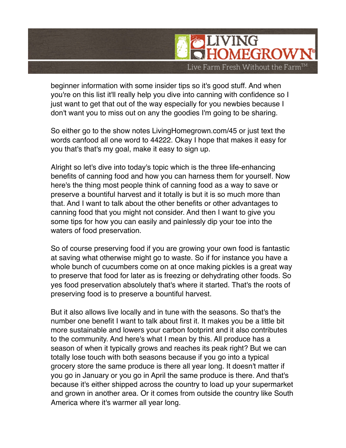

beginner information with some insider tips so it's good stuff. And when you're on this list it'll really help you dive into canning with confidence so I just want to get that out of the way especially for you newbies because I don't want you to miss out on any the goodies I'm going to be sharing.

So either go to the show notes LivingHomegrown.com/45 or just text the words canfood all one word to 44222. Okay I hope that makes it easy for you that's that's my goal, make it easy to sign up.

Alright so let's dive into today's topic which is the three life-enhancing benefits of canning food and how you can harness them for yourself. Now here's the thing most people think of canning food as a way to save or preserve a bountiful harvest and it totally is but it is so much more than that. And I want to talk about the other benefits or other advantages to canning food that you might not consider. And then I want to give you some tips for how you can easily and painlessly dip your toe into the waters of food preservation.

So of course preserving food if you are growing your own food is fantastic at saving what otherwise might go to waste. So if for instance you have a whole bunch of cucumbers come on at once making pickles is a great way to preserve that food for later as is freezing or dehydrating other foods. So yes food preservation absolutely that's where it started. That's the roots of preserving food is to preserve a bountiful harvest.

But it also allows live locally and in tune with the seasons. So that's the number one benefit I want to talk about first it. It makes you be a little bit more sustainable and lowers your carbon footprint and it also contributes to the community. And here's what I mean by this. All produce has a season of when it typically grows and reaches its peak right? But we can totally lose touch with both seasons because if you go into a typical grocery store the same produce is there all year long. It doesn't matter if you go in January or you go in April the same produce is there. And that's because it's either shipped across the country to load up your supermarket and grown in another area. Or it comes from outside the country like South America where it's warmer all year long.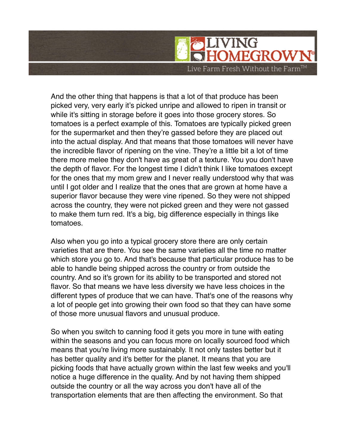

And the other thing that happens is that a lot of that produce has been picked very, very early it's picked unripe and allowed to ripen in transit or while it's sitting in storage before it goes into those grocery stores. So tomatoes is a perfect example of this. Tomatoes are typically picked green for the supermarket and then they're gassed before they are placed out into the actual display. And that means that those tomatoes will never have the incredible flavor of ripening on the vine. They're a little bit a lot of time there more melee they don't have as great of a texture. You you don't have the depth of flavor. For the longest time I didn't think I like tomatoes except for the ones that my mom grew and I never really understood why that was until I got older and I realize that the ones that are grown at home have a superior flavor because they were vine ripened. So they were not shipped across the country, they were not picked green and they were not gassed to make them turn red. It's a big, big difference especially in things like tomatoes.

Also when you go into a typical grocery store there are only certain varieties that are there. You see the same varieties all the time no matter which store you go to. And that's because that particular produce has to be able to handle being shipped across the country or from outside the country. And so it's grown for its ability to be transported and stored not flavor. So that means we have less diversity we have less choices in the different types of produce that we can have. That's one of the reasons why a lot of people get into growing their own food so that they can have some of those more unusual flavors and unusual produce.

So when you switch to canning food it gets you more in tune with eating within the seasons and you can focus more on locally sourced food which means that you're living more sustainably. It not only tastes better but it has better quality and it's better for the planet. It means that you are picking foods that have actually grown within the last few weeks and you'll notice a huge difference in the quality. And by not having them shipped outside the country or all the way across you don't have all of the transportation elements that are then affecting the environment. So that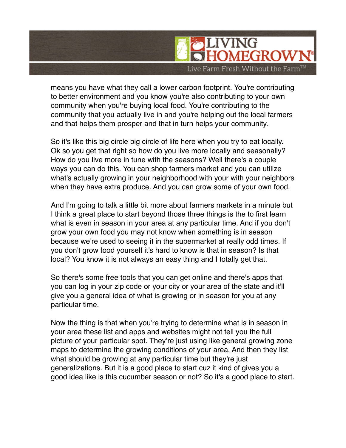

means you have what they call a lower carbon footprint. You're contributing to better environment and you know you're also contributing to your own community when you're buying local food. You're contributing to the community that you actually live in and you're helping out the local farmers and that helps them prosper and that in turn helps your community.

So it's like this big circle big circle of life here when you try to eat locally. Ok so you get that right so how do you live more locally and seasonally? How do you live more in tune with the seasons? Well there's a couple ways you can do this. You can shop farmers market and you can utilize what's actually growing in your neighborhood with your with your neighbors when they have extra produce. And you can grow some of your own food.

And I'm going to talk a little bit more about farmers markets in a minute but I think a great place to start beyond those three things is the to first learn what is even in season in your area at any particular time. And if you don't grow your own food you may not know when something is in season because we're used to seeing it in the supermarket at really odd times. If you don't grow food yourself it's hard to know is that in season? Is that local? You know it is not always an easy thing and I totally get that.

So there's some free tools that you can get online and there's apps that you can log in your zip code or your city or your area of the state and it'll give you a general idea of what is growing or in season for you at any particular time.

Now the thing is that when you're trying to determine what is in season in your area these list and apps and websites might not tell you the full picture of your particular spot. They're just using like general growing zone maps to determine the growing conditions of your area. And then they list what should be growing at any particular time but they're just generalizations. But it is a good place to start cuz it kind of gives you a good idea like is this cucumber season or not? So it's a good place to start.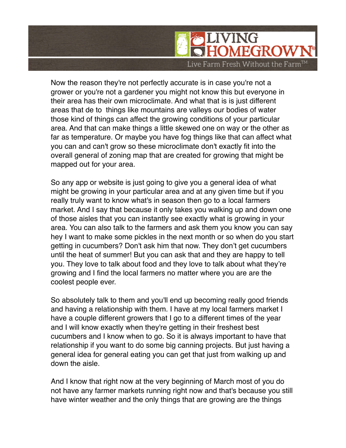

Now the reason they're not perfectly accurate is in case you're not a grower or you're not a gardener you might not know this but everyone in their area has their own microclimate. And what that is is just different areas that de to things like mountains are valleys our bodies of water those kind of things can affect the growing conditions of your particular area. And that can make things a little skewed one on way or the other as far as temperature. Or maybe you have fog things like that can affect what you can and can't grow so these microclimate don't exactly fit into the overall general of zoning map that are created for growing that might be mapped out for your area.

So any app or website is just going to give you a general idea of what might be growing in your particular area and at any given time but if you really truly want to know what's in season then go to a local farmers market. And I say that because it only takes you walking up and down one of those aisles that you can instantly see exactly what is growing in your area. You can also talk to the farmers and ask them you know you can say hey I want to make some pickles in the next month or so when do you start getting in cucumbers? Don't ask him that now. They don't get cucumbers until the heat of summer! But you can ask that and they are happy to tell you. They love to talk about food and they love to talk about what they're growing and I find the local farmers no matter where you are are the coolest people ever.

So absolutely talk to them and you'll end up becoming really good friends and having a relationship with them. I have at my local farmers market I have a couple different growers that I go to a different times of the year and I will know exactly when they're getting in their freshest best cucumbers and I know when to go. So it is always important to have that relationship if you want to do some big canning projects. But just having a general idea for general eating you can get that just from walking up and down the aisle.

And I know that right now at the very beginning of March most of you do not have any farmer markets running right now and that's because you still have winter weather and the only things that are growing are the things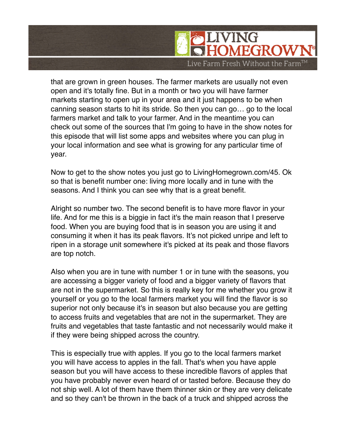

that are grown in green houses. The farmer markets are usually not even open and it's totally fine. But in a month or two you will have farmer markets starting to open up in your area and it just happens to be when canning season starts to hit its stride. So then you can go… go to the local farmers market and talk to your farmer. And in the meantime you can check out some of the sources that I'm going to have in the show notes for this episode that will list some apps and websites where you can plug in your local information and see what is growing for any particular time of year.

Now to get to the show notes you just go to LivingHomegrown.com/45. Ok so that is benefit number one: living more locally and in tune with the seasons. And I think you can see why that is a great benefit.

Alright so number two. The second benefit is to have more flavor in your life. And for me this is a biggie in fact it's the main reason that I preserve food. When you are buying food that is in season you are using it and consuming it when it has its peak flavors. It's not picked unripe and left to ripen in a storage unit somewhere it's picked at its peak and those flavors are top notch.

Also when you are in tune with number 1 or in tune with the seasons, you are accessing a bigger variety of food and a bigger variety of flavors that are not in the supermarket. So this is really key for me whether you grow it yourself or you go to the local farmers market you will find the flavor is so superior not only because it's in season but also because you are getting to access fruits and vegetables that are not in the supermarket. They are fruits and vegetables that taste fantastic and not necessarily would make it if they were being shipped across the country.

This is especially true with apples. If you go to the local farmers market you will have access to apples in the fall. That's when you have apple season but you will have access to these incredible flavors of apples that you have probably never even heard of or tasted before. Because they do not ship well. A lot of them have them thinner skin or they are very delicate and so they can't be thrown in the back of a truck and shipped across the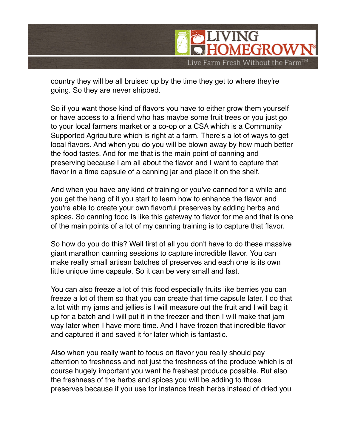

country they will be all bruised up by the time they get to where they're going. So they are never shipped.

So if you want those kind of flavors you have to either grow them yourself or have access to a friend who has maybe some fruit trees or you just go to your local farmers market or a co-op or a CSA which is a Community Supported Agriculture which is right at a farm. There's a lot of ways to get local flavors. And when you do you will be blown away by how much better the food tastes. And for me that is the main point of canning and preserving because I am all about the flavor and I want to capture that flavor in a time capsule of a canning jar and place it on the shelf.

And when you have any kind of training or you've canned for a while and you get the hang of it you start to learn how to enhance the flavor and you're able to create your own flavorful preserves by adding herbs and spices. So canning food is like this gateway to flavor for me and that is one of the main points of a lot of my canning training is to capture that flavor.

So how do you do this? Well first of all you don't have to do these massive giant marathon canning sessions to capture incredible flavor. You can make really small artisan batches of preserves and each one is its own little unique time capsule. So it can be very small and fast.

You can also freeze a lot of this food especially fruits like berries you can freeze a lot of them so that you can create that time capsule later. I do that a lot with my jams and jellies is I will measure out the fruit and I will bag it up for a batch and I will put it in the freezer and then I will make that jam way later when I have more time. And I have frozen that incredible flavor and captured it and saved it for later which is fantastic.

Also when you really want to focus on flavor you really should pay attention to freshness and not just the freshness of the produce which is of course hugely important you want he freshest produce possible. But also the freshness of the herbs and spices you will be adding to those preserves because if you use for instance fresh herbs instead of dried you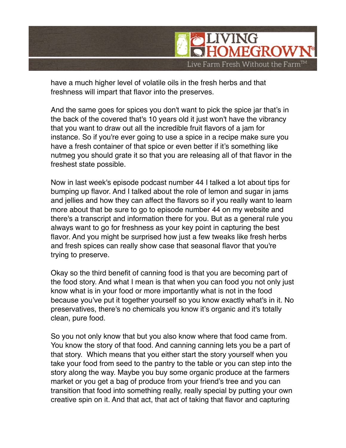

have a much higher level of volatile oils in the fresh herbs and that freshness will impart that flavor into the preserves.

And the same goes for spices you don't want to pick the spice jar that's in the back of the covered that's 10 years old it just won't have the vibrancy that you want to draw out all the incredible fruit flavors of a jam for instance. So if you're ever going to use a spice in a recipe make sure you have a fresh container of that spice or even better if it's something like nutmeg you should grate it so that you are releasing all of that flavor in the freshest state possible.

Now in last week's episode podcast number 44 I talked a lot about tips for bumping up flavor. And I talked about the role of lemon and sugar in jams and jellies and how they can affect the flavors so if you really want to learn more about that be sure to go to episode number 44 on my website and there's a transcript and information there for you. But as a general rule you always want to go for freshness as your key point in capturing the best flavor. And you might be surprised how just a few tweaks like fresh herbs and fresh spices can really show case that seasonal flavor that you're trying to preserve.

Okay so the third benefit of canning food is that you are becoming part of the food story. And what I mean is that when you can food you not only just know what is in your food or more importantly what is not in the food because you've put it together yourself so you know exactly what's in it. No preservatives, there's no chemicals you know it's organic and it's totally clean, pure food.

So you not only know that but you also know where that food came from. You know the story of that food. And canning canning lets you be a part of that story. Which means that you either start the story yourself when you take your food from seed to the pantry to the table or you can step into the story along the way. Maybe you buy some organic produce at the farmers market or you get a bag of produce from your friend's tree and you can transition that food into something really, really special by putting your own creative spin on it. And that act, that act of taking that flavor and capturing